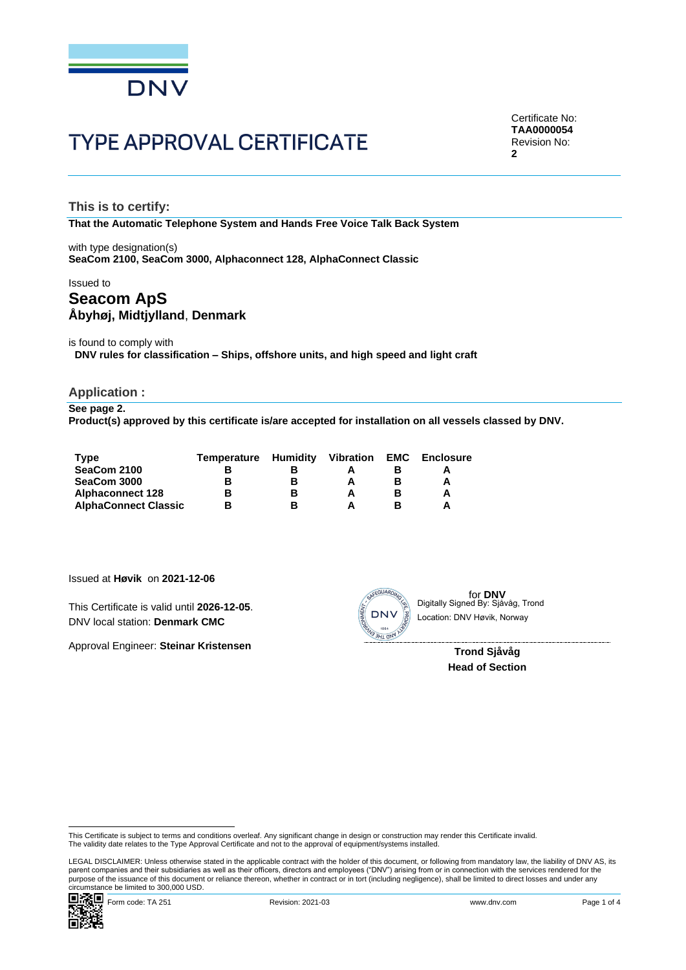

# **TYPE APPROVAL CERTIFICATE**

Certificate No: **TAA0000054** Revision No: **2**

**This is to certify:**

**That the Automatic Telephone System and Hands Free Voice Talk Back System**

with type designation(s) **SeaCom 2100, SeaCom 3000, Alphaconnect 128, AlphaConnect Classic**

## Issued to **Seacom ApS Åbyhøj, Midtjylland**, **Denmark**

is found to comply with **DNV rules for classification – Ships, offshore units, and high speed and light craft**

### **Application :**

**See page 2. Product(s) approved by this certificate is/are accepted for installation on all vessels classed by DNV.**

| Tvpe                        | Temperature Humidity |   | <b>Vibration</b> | <b>EMC</b> | <b>Enclosure</b> |
|-----------------------------|----------------------|---|------------------|------------|------------------|
| SeaCom 2100                 |                      |   |                  |            |                  |
| SeaCom 3000                 |                      | в |                  |            | A                |
| <b>Alphaconnect 128</b>     |                      | в |                  |            | Α                |
| <b>AlphaConnect Classic</b> |                      |   |                  |            | Δ                |

Issued at **Høvik** on **2021-12-06**

This Certificate is valid until **2026-12-05**. DNV local station: **Denmark CMC**

Approval Engineer: **Steinar Kristensen**



for **DNV**<br>Digitally Signed By: Sjåvåg, Trond Location: DNV Høvik, Norway

> **Trond Sjåvåg Head of Section**

LEGAL DISCLAIMER: Unless otherwise stated in the applicable contract with the holder of this document, or following from mandatory law, the liability of DNV AS, its<br>parent companies and their subsidiaries as well as their purpose of the issuance of this document or reliance thereon, whether in contract or in tort (including negligence), shall be limited to direct losses and under any<br>circumstance be limited to 300,000 USD. This Certificate is valid until 2026-12-05.<br>
Consider the issue of the stock of Science of the stock of Science of Science of the Science of Science of Science<br>
Approval Engineer: Steinar Kristensen<br>
Trond Sjåvåg<br>
Head of



This Certificate is subject to terms and conditions overleaf. Any significant change in design or construction may render this Certificate invalid.<br>The validity date relates to the Type Approval Certificate and not to the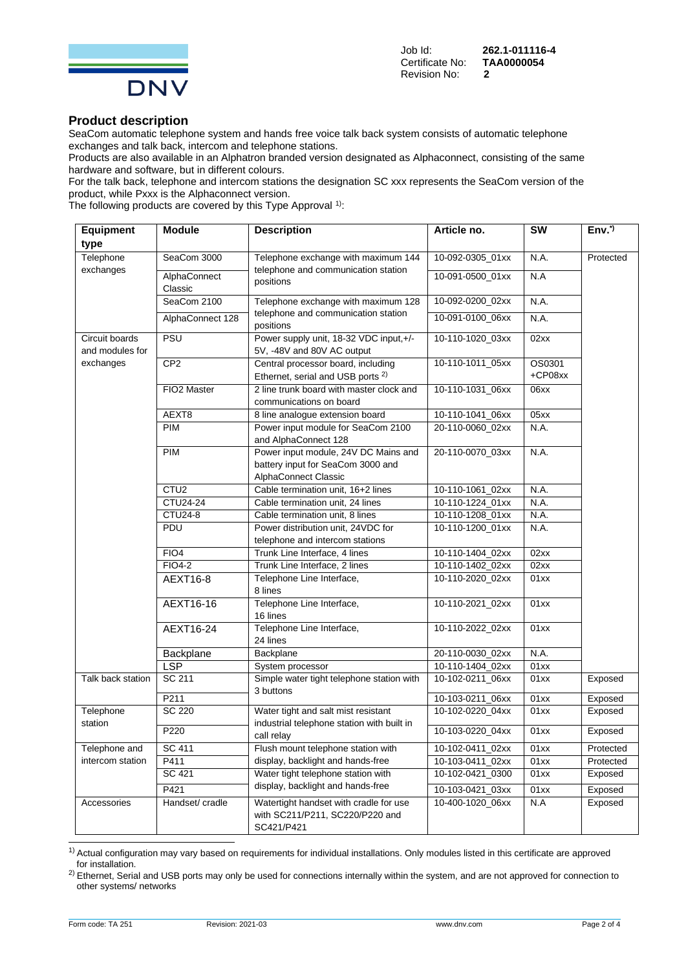

Certificate No: **T/**<br>Revision No: **2** Revision No: **2**

Job Id: **262.1-011116-4**

## **Product description**

SeaCom automatic telephone system and hands free voice talk back system consists of automatic telephone exchanges and talk back, intercom and telephone stations.

Products are also available in an Alphatron branded version designated as Alphaconnect, consisting of the same hardware and software, but in different colours.

For the talk back, telephone and intercom stations the designation SC xxx represents the SeaCom version of the product, while Pxxx is the Alphaconnect version.

The following products are covered by this Type Approval  $1$ ):

| <b>Equipment</b>                  | <b>Module</b>           | <b>Description</b>                                                                                                           | Article no.      | $\overline{\text{sw}}$ | $Env.*$   |
|-----------------------------------|-------------------------|------------------------------------------------------------------------------------------------------------------------------|------------------|------------------------|-----------|
| type                              |                         |                                                                                                                              |                  |                        |           |
| Telephone<br>exchanges            | SeaCom 3000             | Telephone exchange with maximum 144<br>telephone and communication station                                                   | 10-092-0305_01xx | N.A.                   | Protected |
|                                   | AlphaConnect<br>Classic | positions                                                                                                                    | 10-091-0500_01xx | N.A                    |           |
|                                   | SeaCom 2100             | Telephone exchange with maximum 128                                                                                          | 10-092-0200_02xx | N.A.                   |           |
|                                   | AlphaConnect 128        | telephone and communication station<br>positions                                                                             | 10-091-0100_06xx | <b>N.A.</b>            |           |
| Circuit boards<br>and modules for | PSU                     | Power supply unit, 18-32 VDC input,+/-<br>5V, -48V and 80V AC output                                                         | 10-110-1020_03xx | 02xx                   |           |
| exchanges                         | CP <sub>2</sub>         | Central processor board, including<br>Ethernet, serial and USB ports <sup>2)</sup>                                           | 10-110-1011 05xx | OS0301<br>+CP08xx      |           |
|                                   | FIO2 Master             | 2 line trunk board with master clock and<br>10-110-1031_06xx<br>communications on board                                      |                  | 06xx                   |           |
|                                   | AEXT8                   | 8 line analogue extension board                                                                                              | 10-110-1041_06xx | 05xx                   |           |
|                                   | <b>PIM</b>              | Power input module for SeaCom 2100<br>and AlphaConnect 128                                                                   | 20-110-0060_02xx | N.A.                   |           |
|                                   | <b>PIM</b>              | Power input module, 24V DC Mains and<br>20-110-0070_03xx<br>battery input for SeaCom 3000 and<br><b>AlphaConnect Classic</b> |                  | N.A.                   |           |
|                                   | CTU <sub>2</sub>        | Cable termination unit, 16+2 lines                                                                                           | 10-110-1061_02xx | N.A.                   |           |
|                                   | CTU24-24                | Cable termination unit, 24 lines<br>10-110-1224_01xx                                                                         |                  | N.A.                   |           |
|                                   | <b>CTU24-8</b>          | Cable termination unit, 8 lines                                                                                              | 10-110-1208 01xx | N.A.                   |           |
|                                   | PDU                     | Power distribution unit, 24VDC for<br>telephone and intercom stations                                                        | 10-110-1200_01xx | N.A.                   |           |
| FIO <sub>4</sub>                  |                         | Trunk Line Interface, 4 lines                                                                                                | 10-110-1404_02xx | 02xx                   |           |
| FIO4-2                            |                         | Trunk Line Interface, 2 lines                                                                                                | 10-110-1402_02xx | 02xx                   |           |
|                                   | AEXT16-8                | Telephone Line Interface,<br>8 lines                                                                                         | 10-110-2020_02xx | 01xx                   |           |
|                                   | AEXT16-16               | Telephone Line Interface,<br>16 lines                                                                                        | 10-110-2021_02xx | 01xx                   |           |
|                                   | AEXT16-24               | Telephone Line Interface,<br>24 lines                                                                                        | 10-110-2022_02xx | 01xx                   |           |
|                                   | Backplane               | Backplane                                                                                                                    | 20-110-0030_02xx | N.A.                   |           |
|                                   | <b>LSP</b>              | System processor                                                                                                             | 10-110-1404_02xx | 01xx                   |           |
| Talk back station                 | SC 211                  | Simple water tight telephone station with<br>3 buttons                                                                       | 10-102-0211 06xx | 01xx                   | Exposed   |
|                                   | P211                    |                                                                                                                              | 10-103-0211 06xx | 01xx                   | Exposed   |
| Telephone<br>station              | SC 220                  | Water tight and salt mist resistant<br>industrial telephone station with built in                                            | 10-102-0220_04xx | 01xx                   | Exposed   |
|                                   | P220                    | call relay                                                                                                                   | 10-103-0220_04xx | 01xx                   | Exposed   |
| Telephone and                     | SC 411                  | Flush mount telephone station with                                                                                           | 10-102-0411_02xx | 01xx                   | Protected |
| intercom station                  | P411                    | display, backlight and hands-free                                                                                            | 10-103-0411_02xx | 01xx                   | Protected |
|                                   | SC 421                  | Water tight telephone station with                                                                                           | 10-102-0421_0300 | 01xx                   | Exposed   |
|                                   | P421                    | display, backlight and hands-free                                                                                            | 10-103-0421_03xx | 01xx                   | Exposed   |
| Accessories                       | Handset/ cradle         | Watertight handset with cradle for use<br>with SC211/P211, SC220/P220 and<br>SC421/P421                                      | 10-400-1020_06xx | N.A                    | Exposed   |

<sup>&</sup>lt;sup>1)</sup> Actual configuration may vary based on requirements for individual installations. Only modules listed in this certificate are approved for installation.

<sup>&</sup>lt;sup>2)</sup> Ethernet, Serial and USB ports may only be used for connections internally within the system, and are not approved for connection to other systems/ networks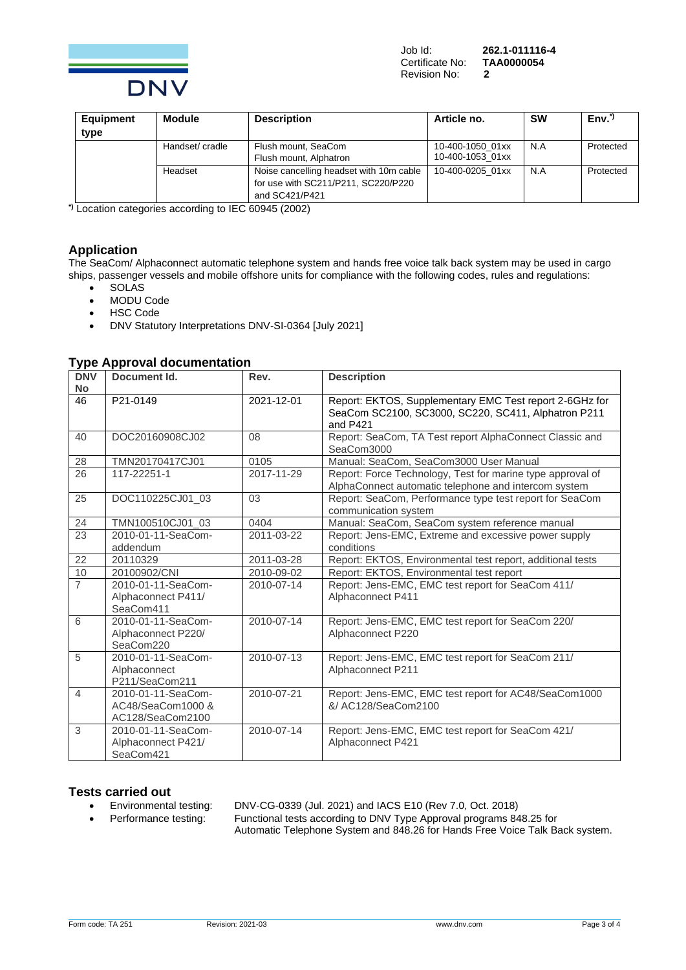

| Equipment | <b>Module</b>   | <b>Description</b>                                                                               | Article no.                          | <b>SW</b> | $Env^{\star}$ |
|-----------|-----------------|--------------------------------------------------------------------------------------------------|--------------------------------------|-----------|---------------|
| type      |                 |                                                                                                  |                                      |           |               |
|           | Handset/ cradle | Flush mount, SeaCom<br>Flush mount, Alphatron                                                    | 10-400-1050 01xx<br>10-400-1053 01xx | N.A       | Protected     |
|           | Headset         | Noise cancelling headset with 10m cable<br>for use with SC211/P211, SC220/P220<br>and SC421/P421 | 10-400-0205 01xx                     | N.A       | Protected     |

**\*)** Location categories according to IEC 60945 (2002)

## **Application**

The SeaCom/ Alphaconnect automatic telephone system and hands free voice talk back system may be used in cargo ships, passenger vessels and mobile offshore units for compliance with the following codes, rules and regulations:

- SOLAS
- MODU Code
- **HSC Code**
- DNV Statutory Interpretations DNV-SI-0364 [July 2021]

### **Type Approval documentation**

| <b>DNV</b>     | Document Id.                                                | Rev.       | <b>Description</b>                                                                                                         |
|----------------|-------------------------------------------------------------|------------|----------------------------------------------------------------------------------------------------------------------------|
| <b>No</b>      |                                                             |            |                                                                                                                            |
| 46             | P21-0149                                                    | 2021-12-01 | Report: EKTOS, Supplementary EMC Test report 2-6GHz for<br>SeaCom SC2100, SC3000, SC220, SC411, Alphatron P211<br>and P421 |
| 40             | DOC20160908CJ02                                             | 08         | Report: SeaCom, TA Test report AlphaConnect Classic and<br>SeaCom3000                                                      |
| 28             | TMN20170417CJ01                                             | 0105       | Manual: SeaCom, SeaCom3000 User Manual                                                                                     |
| 26             | 117-22251-1                                                 | 2017-11-29 | Report: Force Technology, Test for marine type approval of<br>AlphaConnect automatic telephone and intercom system         |
| 25             | DOC110225CJ01_03                                            | 03         | Report: SeaCom, Performance type test report for SeaCom<br>communication system                                            |
| 24             | TMN100510CJ01 03                                            | 0404       | Manual: SeaCom, SeaCom system reference manual                                                                             |
| 23             | 2010-01-11-SeaCom-<br>addendum                              | 2011-03-22 | Report: Jens-EMC, Extreme and excessive power supply<br>conditions                                                         |
| 22             | 20110329                                                    | 2011-03-28 | Report: EKTOS, Environmental test report, additional tests                                                                 |
| 10             | 20100902/CNI                                                | 2010-09-02 | Report: EKTOS, Environmental test report                                                                                   |
| $\overline{7}$ | 2010-01-11-SeaCom-<br>Alphaconnect P411/<br>SeaCom411       | 2010-07-14 | Report: Jens-EMC, EMC test report for SeaCom 411/<br>Alphaconnect P411                                                     |
| 6              | 2010-01-11-SeaCom-<br>Alphaconnect P220/<br>SeaCom220       | 2010-07-14 | Report: Jens-EMC, EMC test report for SeaCom 220/<br>Alphaconnect P220                                                     |
| 5              | 2010-01-11-SeaCom-<br>Alphaconnect<br>P211/SeaCom211        | 2010-07-13 | Report: Jens-EMC, EMC test report for SeaCom 211/<br>Alphaconnect P211                                                     |
| 4              | 2010-01-11-SeaCom-<br>AC48/SeaCom1000 &<br>AC128/SeaCom2100 | 2010-07-21 | Report: Jens-EMC, EMC test report for AC48/SeaCom1000<br>&/ AC128/SeaCom2100                                               |
| 3              | 2010-01-11-SeaCom-<br>Alphaconnect P421/<br>SeaCom421       | 2010-07-14 | Report: Jens-EMC, EMC test report for SeaCom 421/<br>Alphaconnect P421                                                     |

### **Tests carried out**

- 
- 

• Environmental testing: DNV-CG-0339 (Jul. 2021) and IACS E10 (Rev 7.0, Oct. 2018) • Performance testing: Functional tests according to DNV Type Approval programs 848.25 for Automatic Telephone System and 848.26 for Hands Free Voice Talk Back system.